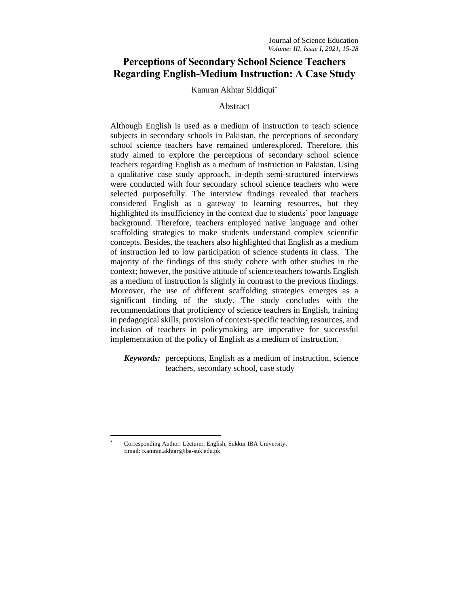# **Perceptions of Secondary School Science Teachers Regarding English-Medium Instruction: A Case Study**

#### Kamran Akhtar Siddiqui\*

### Abstract

Although English is used as a medium of instruction to teach science subjects in secondary schools in Pakistan, the perceptions of secondary school science teachers have remained underexplored. Therefore, this study aimed to explore the perceptions of secondary school science teachers regarding English as a medium of instruction in Pakistan. Using a qualitative case study approach, in-depth semi-structured interviews were conducted with four secondary school science teachers who were selected purposefully. The interview findings revealed that teachers considered English as a gateway to learning resources, but they highlighted its insufficiency in the context due to students' poor language background. Therefore, teachers employed native language and other scaffolding strategies to make students understand complex scientific concepts. Besides, the teachers also highlighted that English as a medium of instruction led to low participation of science students in class. The majority of the findings of this study cohere with other studies in the context; however, the positive attitude of science teachers towards English as a medium of instruction is slightly in contrast to the previous findings. Moreover, the use of different scaffolding strategies emerges as a significant finding of the study. The study concludes with the recommendations that proficiency of science teachers in English, training in pedagogical skills, provision of context-specific teaching resources, and inclusion of teachers in policymaking are imperative for successful implementation of the policy of English as a medium of instruction.

*Keywords:* perceptions, English as a medium of instruction, science teachers, secondary school, case study

<sup>\*</sup> Corresponding Author: Lecturer, English, Sukkur IBA University. Email: Kamran.akhtar@iba-suk.edu.pk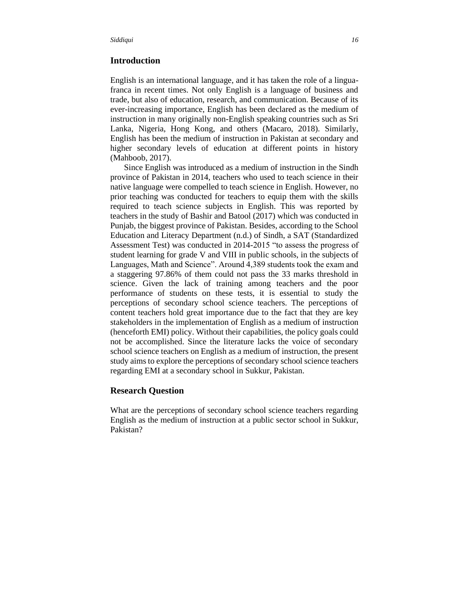### **Introduction**

English is an international language, and it has taken the role of a linguafranca in recent times. Not only English is a language of business and trade, but also of education, research, and communication. Because of its ever-increasing importance, English has been declared as the medium of instruction in many originally non-English speaking countries such as Sri Lanka, Nigeria, Hong Kong, and others (Macaro, 2018). Similarly, English has been the medium of instruction in Pakistan at secondary and higher secondary levels of education at different points in history (Mahboob, 2017).

Since English was introduced as a medium of instruction in the Sindh province of Pakistan in 2014, teachers who used to teach science in their native language were compelled to teach science in English. However, no prior teaching was conducted for teachers to equip them with the skills required to teach science subjects in English. This was reported by teachers in the study of Bashir and Batool (2017) which was conducted in Punjab, the biggest province of Pakistan. Besides, according to the School Education and Literacy Department (n.d.) of Sindh, a SAT (Standardized Assessment Test) was conducted in 2014-2015 "to assess the progress of student learning for grade V and VIII in public schools, in the subjects of Languages, Math and Science". Around 4,389 students took the exam and a staggering 97.86% of them could not pass the 33 marks threshold in science. Given the lack of training among teachers and the poor performance of students on these tests, it is essential to study the perceptions of secondary school science teachers. The perceptions of content teachers hold great importance due to the fact that they are key stakeholders in the implementation of English as a medium of instruction (henceforth EMI) policy. Without their capabilities, the policy goals could not be accomplished. Since the literature lacks the voice of secondary school science teachers on English as a medium of instruction, the present study aims to explore the perceptions of secondary school science teachers regarding EMI at a secondary school in Sukkur, Pakistan.

# **Research Question**

What are the perceptions of secondary school science teachers regarding English as the medium of instruction at a public sector school in Sukkur, Pakistan?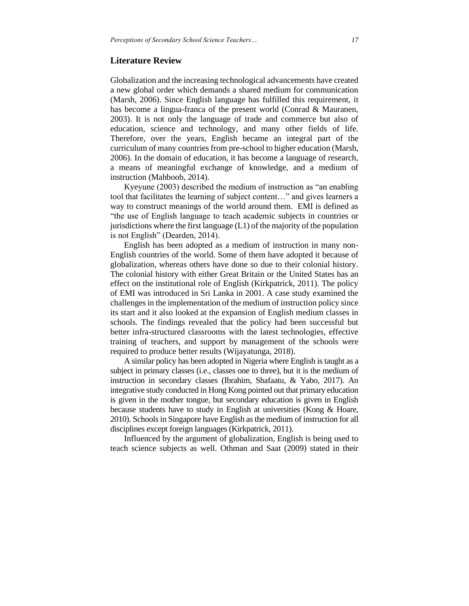### **Literature Review**

Globalization and the increasing technological advancements have created a new global order which demands a shared medium for communication (Marsh, 2006). Since English language has fulfilled this requirement, it has become a lingua-franca of the present world (Conrad & Mauranen, 2003). It is not only the language of trade and commerce but also of education, science and technology, and many other fields of life. Therefore, over the years, English became an integral part of the curriculum of many countries from pre-school to higher education (Marsh, 2006). In the domain of education, it has become a language of research, a means of meaningful exchange of knowledge, and a medium of instruction (Mahboob, 2014).

Kyeyune (2003) described the medium of instruction as "an enabling tool that facilitates the learning of subject content…" and gives learners a way to construct meanings of the world around them. EMI is defined as "the use of English language to teach academic subjects in countries or jurisdictions where the first language  $(L1)$  of the majority of the population is not English" (Dearden, 2014).

English has been adopted as a medium of instruction in many non-English countries of the world. Some of them have adopted it because of globalization, whereas others have done so due to their colonial history. The colonial history with either Great Britain or the United States has an effect on the institutional role of English (Kirkpatrick, 2011). The policy of EMI was introduced in Sri Lanka in 2001. A case study examined the challenges in the implementation of the medium of instruction policy since its start and it also looked at the expansion of English medium classes in schools. The findings revealed that the policy had been successful but better infra-structured classrooms with the latest technologies, effective training of teachers, and support by management of the schools were required to produce better results (Wijayatunga, 2018).

A similar policy has been adopted in Nigeria where English is taught as a subject in primary classes (i.e., classes one to three), but it is the medium of instruction in secondary classes (Ibrahim, Shafaatu, & Yabo, 2017). An integrative study conducted in Hong Kong pointed out that primary education is given in the mother tongue, but secondary education is given in English because students have to study in English at universities (Kong & Hoare, 2010). Schools in Singapore have English as the medium of instruction for all disciplines except foreign languages (Kirkpatrick, 2011).

Influenced by the argument of globalization, English is being used to teach science subjects as well. Othman and Saat (2009) stated in their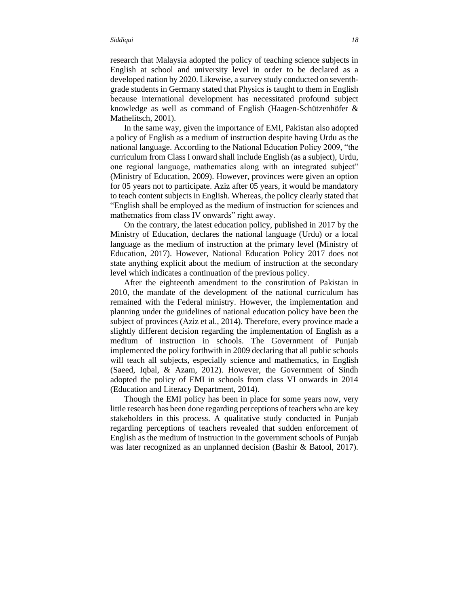research that Malaysia adopted the policy of teaching science subjects in English at school and university level in order to be declared as a developed nation by 2020. Likewise, a survey study conducted on seventhgrade students in Germany stated that Physics is taught to them in English because international development has necessitated profound subject knowledge as well as command of English (Haagen-Schützenhöfer & Mathelitsch, 2001).

In the same way, given the importance of EMI, Pakistan also adopted a policy of English as a medium of instruction despite having Urdu as the national language. According to the National Education Policy 2009, "the curriculum from Class I onward shall include English (as a subject), Urdu, one regional language, mathematics along with an integrated subject" (Ministry of Education, 2009). However, provinces were given an option for 05 years not to participate. Aziz after 05 years, it would be mandatory to teach content subjects in English. Whereas, the policy clearly stated that "English shall be employed as the medium of instruction for sciences and mathematics from class IV onwards" right away.

On the contrary, the latest education policy, published in 2017 by the Ministry of Education, declares the national language (Urdu) or a local language as the medium of instruction at the primary level (Ministry of Education, 2017). However, National Education Policy 2017 does not state anything explicit about the medium of instruction at the secondary level which indicates a continuation of the previous policy.

After the eighteenth amendment to the constitution of Pakistan in 2010, the mandate of the development of the national curriculum has remained with the Federal ministry. However, the implementation and planning under the guidelines of national education policy have been the subject of provinces (Aziz et al., 2014). Therefore, every province made a slightly different decision regarding the implementation of English as a medium of instruction in schools. The Government of Punjab implemented the policy forthwith in 2009 declaring that all public schools will teach all subjects, especially science and mathematics, in English (Saeed, Iqbal, & Azam, 2012). However, the Government of Sindh adopted the policy of EMI in schools from class VI onwards in 2014 (Education and Literacy Department, 2014).

Though the EMI policy has been in place for some years now, very little research has been done regarding perceptions of teachers who are key stakeholders in this process. A qualitative study conducted in Punjab regarding perceptions of teachers revealed that sudden enforcement of English as the medium of instruction in the government schools of Punjab was later recognized as an unplanned decision (Bashir & Batool, 2017).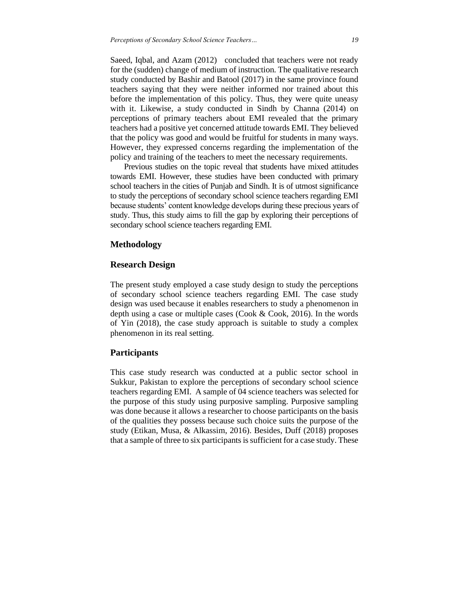Saeed, Iqbal, and Azam (2012) concluded that teachers were not ready for the (sudden) change of medium of instruction. The qualitative research study conducted by Bashir and Batool (2017) in the same province found teachers saying that they were neither informed nor trained about this before the implementation of this policy. Thus, they were quite uneasy with it. Likewise, a study conducted in Sindh by Channa (2014) on perceptions of primary teachers about EMI revealed that the primary teachers had a positive yet concerned attitude towards EMI. They believed that the policy was good and would be fruitful for students in many ways. However, they expressed concerns regarding the implementation of the policy and training of the teachers to meet the necessary requirements.

Previous studies on the topic reveal that students have mixed attitudes towards EMI. However, these studies have been conducted with primary school teachers in the cities of Punjab and Sindh. It is of utmost significance to study the perceptions of secondary school science teachers regarding EMI because students' content knowledge develops during these precious years of study. Thus, this study aims to fill the gap by exploring their perceptions of secondary school science teachers regarding EMI.

### **Methodology**

### **Research Design**

The present study employed a case study design to study the perceptions of secondary school science teachers regarding EMI. The case study design was used because it enables researchers to study a phenomenon in depth using a case or multiple cases (Cook & Cook, 2016). In the words of Yin (2018), the case study approach is suitable to study a complex phenomenon in its real setting.

### **Participants**

This case study research was conducted at a public sector school in Sukkur, Pakistan to explore the perceptions of secondary school science teachers regarding EMI. A sample of 04 science teachers was selected for the purpose of this study using purposive sampling. Purposive sampling was done because it allows a researcher to choose participants on the basis of the qualities they possess because such choice suits the purpose of the study (Etikan, Musa, & Alkassim, 2016). Besides, Duff (2018) proposes that a sample of three to six participants is sufficient for a case study. These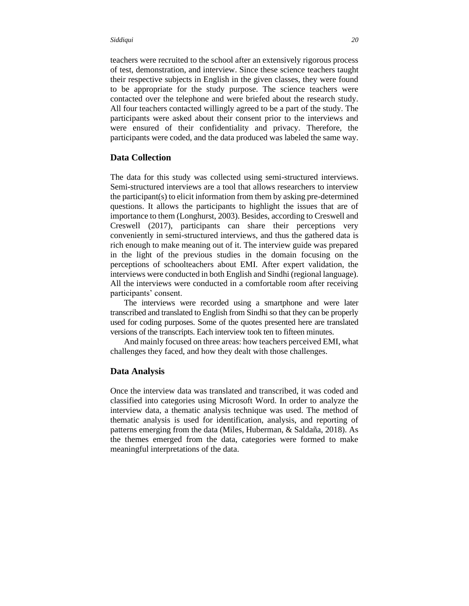teachers were recruited to the school after an extensively rigorous process of test, demonstration, and interview. Since these science teachers taught their respective subjects in English in the given classes, they were found to be appropriate for the study purpose. The science teachers were contacted over the telephone and were briefed about the research study. All four teachers contacted willingly agreed to be a part of the study. The participants were asked about their consent prior to the interviews and were ensured of their confidentiality and privacy. Therefore, the participants were coded, and the data produced was labeled the same way.

### **Data Collection**

The data for this study was collected using semi-structured interviews. Semi-structured interviews are a tool that allows researchers to interview the participant(s) to elicit information from them by asking pre-determined questions. It allows the participants to highlight the issues that are of importance to them (Longhurst, 2003). Besides, according to Creswell and Creswell (2017), participants can share their perceptions very conveniently in semi-structured interviews, and thus the gathered data is rich enough to make meaning out of it. The interview guide was prepared in the light of the previous studies in the domain focusing on the perceptions of schoolteachers about EMI. After expert validation, the interviews were conducted in both English and Sindhi (regional language). All the interviews were conducted in a comfortable room after receiving participants' consent.

The interviews were recorded using a smartphone and were later transcribed and translated to English from Sindhi so that they can be properly used for coding purposes. Some of the quotes presented here are translated versions of the transcripts. Each interview took ten to fifteen minutes.

And mainly focused on three areas: how teachers perceived EMI, what challenges they faced, and how they dealt with those challenges.

#### **Data Analysis**

Once the interview data was translated and transcribed, it was coded and classified into categories using Microsoft Word. In order to analyze the interview data, a thematic analysis technique was used. The method of thematic analysis is used for identification, analysis, and reporting of patterns emerging from the data (Miles, Huberman, & Saldaña, 2018). As the themes emerged from the data, categories were formed to make meaningful interpretations of the data.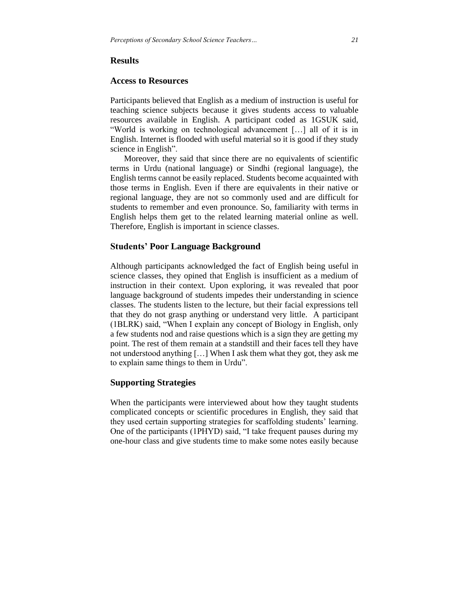#### **Access to Resources**

Participants believed that English as a medium of instruction is useful for teaching science subjects because it gives students access to valuable resources available in English. A participant coded as 1GSUK said, "World is working on technological advancement […] all of it is in English. Internet is flooded with useful material so it is good if they study science in English".

Moreover, they said that since there are no equivalents of scientific terms in Urdu (national language) or Sindhi (regional language), the English terms cannot be easily replaced. Students become acquainted with those terms in English. Even if there are equivalents in their native or regional language, they are not so commonly used and are difficult for students to remember and even pronounce. So, familiarity with terms in English helps them get to the related learning material online as well. Therefore, English is important in science classes.

#### **Students' Poor Language Background**

Although participants acknowledged the fact of English being useful in science classes, they opined that English is insufficient as a medium of instruction in their context. Upon exploring, it was revealed that poor language background of students impedes their understanding in science classes. The students listen to the lecture, but their facial expressions tell that they do not grasp anything or understand very little. A participant (1BLRK) said, "When I explain any concept of Biology in English, only a few students nod and raise questions which is a sign they are getting my point. The rest of them remain at a standstill and their faces tell they have not understood anything […] When I ask them what they got, they ask me to explain same things to them in Urdu".

# **Supporting Strategies**

When the participants were interviewed about how they taught students complicated concepts or scientific procedures in English, they said that they used certain supporting strategies for scaffolding students' learning. One of the participants (1PHYD) said, "I take frequent pauses during my one-hour class and give students time to make some notes easily because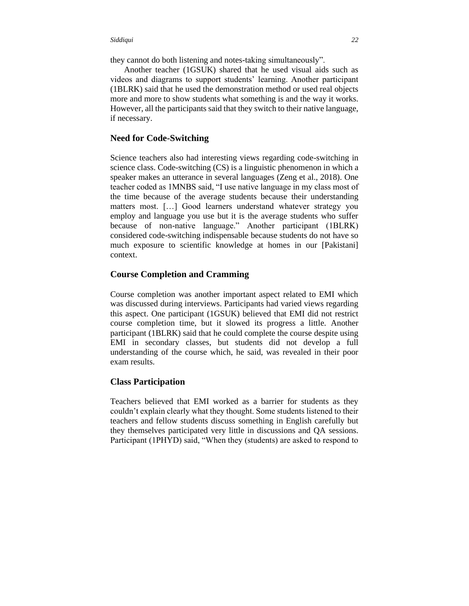they cannot do both listening and notes-taking simultaneously".

Another teacher (1GSUK) shared that he used visual aids such as videos and diagrams to support students' learning. Another participant (1BLRK) said that he used the demonstration method or used real objects more and more to show students what something is and the way it works. However, all the participants said that they switch to their native language, if necessary.

# **Need for Code-Switching**

Science teachers also had interesting views regarding code-switching in science class. Code-switching (CS) is a linguistic phenomenon in which a speaker makes an utterance in several languages (Zeng et al., 2018). One teacher coded as 1MNBS said, "I use native language in my class most of the time because of the average students because their understanding matters most. […] Good learners understand whatever strategy you employ and language you use but it is the average students who suffer because of non-native language." Another participant (1BLRK) considered code-switching indispensable because students do not have so much exposure to scientific knowledge at homes in our [Pakistani] context.

### **Course Completion and Cramming**

Course completion was another important aspect related to EMI which was discussed during interviews. Participants had varied views regarding this aspect. One participant (1GSUK) believed that EMI did not restrict course completion time, but it slowed its progress a little. Another participant (1BLRK) said that he could complete the course despite using EMI in secondary classes, but students did not develop a full understanding of the course which, he said, was revealed in their poor exam results.

# **Class Participation**

Teachers believed that EMI worked as a barrier for students as they couldn't explain clearly what they thought. Some students listened to their teachers and fellow students discuss something in English carefully but they themselves participated very little in discussions and QA sessions. Participant (1PHYD) said, "When they (students) are asked to respond to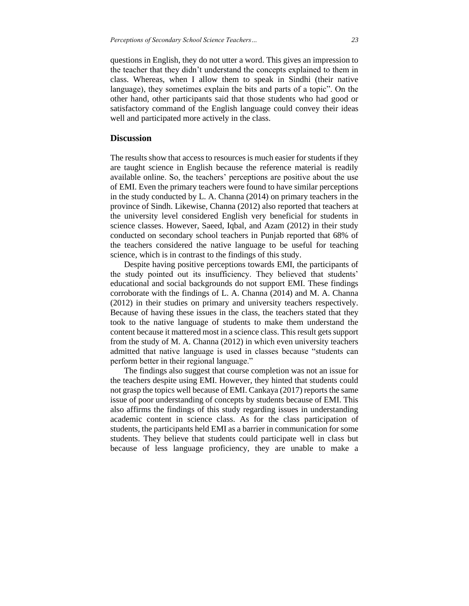questions in English, they do not utter a word. This gives an impression to the teacher that they didn't understand the concepts explained to them in class. Whereas, when I allow them to speak in Sindhi (their native language), they sometimes explain the bits and parts of a topic". On the other hand, other participants said that those students who had good or satisfactory command of the English language could convey their ideas well and participated more actively in the class.

### **Discussion**

The results show that access to resources is much easier for students if they are taught science in English because the reference material is readily available online. So, the teachers' perceptions are positive about the use of EMI. Even the primary teachers were found to have similar perceptions in the study conducted by L. A. Channa (2014) on primary teachers in the province of Sindh. Likewise, Channa (2012) also reported that teachers at the university level considered English very beneficial for students in science classes. However, Saeed, Iqbal, and Azam (2012) in their study conducted on secondary school teachers in Punjab reported that 68% of the teachers considered the native language to be useful for teaching science, which is in contrast to the findings of this study.

Despite having positive perceptions towards EMI, the participants of the study pointed out its insufficiency. They believed that students' educational and social backgrounds do not support EMI. These findings corroborate with the findings of L. A. Channa (2014) and M. A. Channa (2012) in their studies on primary and university teachers respectively. Because of having these issues in the class, the teachers stated that they took to the native language of students to make them understand the content because it mattered most in a science class. This result gets support from the study of M. A. Channa (2012) in which even university teachers admitted that native language is used in classes because "students can perform better in their regional language."

The findings also suggest that course completion was not an issue for the teachers despite using EMI. However, they hinted that students could not grasp the topics well because of EMI. Cankaya (2017) reports the same issue of poor understanding of concepts by students because of EMI. This also affirms the findings of this study regarding issues in understanding academic content in science class. As for the class participation of students, the participants held EMI as a barrier in communication for some students. They believe that students could participate well in class but because of less language proficiency, they are unable to make a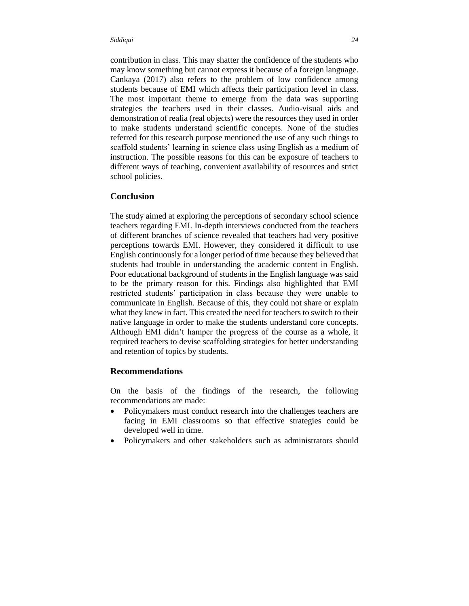contribution in class. This may shatter the confidence of the students who may know something but cannot express it because of a foreign language. Cankaya (2017) also refers to the problem of low confidence among students because of EMI which affects their participation level in class. The most important theme to emerge from the data was supporting strategies the teachers used in their classes. Audio-visual aids and demonstration of realia (real objects) were the resources they used in order to make students understand scientific concepts. None of the studies referred for this research purpose mentioned the use of any such things to scaffold students' learning in science class using English as a medium of instruction. The possible reasons for this can be exposure of teachers to different ways of teaching, convenient availability of resources and strict school policies.

#### **Conclusion**

The study aimed at exploring the perceptions of secondary school science teachers regarding EMI. In-depth interviews conducted from the teachers of different branches of science revealed that teachers had very positive perceptions towards EMI. However, they considered it difficult to use English continuously for a longer period of time because they believed that students had trouble in understanding the academic content in English. Poor educational background of students in the English language was said to be the primary reason for this. Findings also highlighted that EMI restricted students' participation in class because they were unable to communicate in English. Because of this, they could not share or explain what they knew in fact. This created the need for teachers to switch to their native language in order to make the students understand core concepts. Although EMI didn't hamper the progress of the course as a whole, it required teachers to devise scaffolding strategies for better understanding and retention of topics by students.

#### **Recommendations**

On the basis of the findings of the research, the following recommendations are made:

- Policymakers must conduct research into the challenges teachers are facing in EMI classrooms so that effective strategies could be developed well in time.
- Policymakers and other stakeholders such as administrators should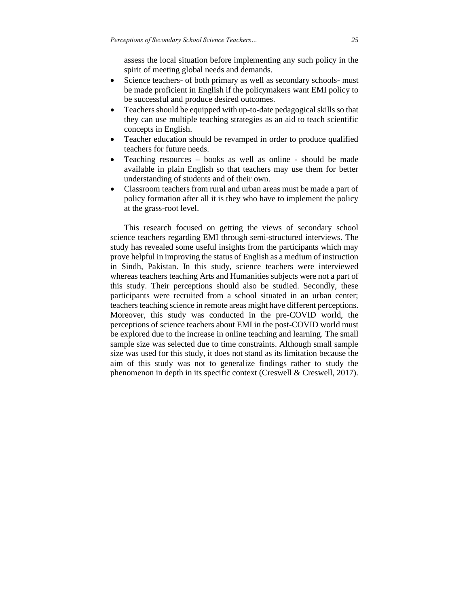assess the local situation before implementing any such policy in the spirit of meeting global needs and demands.

- Science teachers- of both primary as well as secondary schools- must be made proficient in English if the policymakers want EMI policy to be successful and produce desired outcomes.
- Teachers should be equipped with up-to-date pedagogical skills so that they can use multiple teaching strategies as an aid to teach scientific concepts in English.
- Teacher education should be revamped in order to produce qualified teachers for future needs.
- Teaching resources books as well as online should be made available in plain English so that teachers may use them for better understanding of students and of their own.
- Classroom teachers from rural and urban areas must be made a part of policy formation after all it is they who have to implement the policy at the grass-root level.

This research focused on getting the views of secondary school science teachers regarding EMI through semi-structured interviews. The study has revealed some useful insights from the participants which may prove helpful in improving the status of English as a medium of instruction in Sindh, Pakistan. In this study, science teachers were interviewed whereas teachers teaching Arts and Humanities subjects were not a part of this study. Their perceptions should also be studied. Secondly, these participants were recruited from a school situated in an urban center; teachers teaching science in remote areas might have different perceptions. Moreover, this study was conducted in the pre-COVID world, the perceptions of science teachers about EMI in the post-COVID world must be explored due to the increase in online teaching and learning. The small sample size was selected due to time constraints. Although small sample size was used for this study, it does not stand as its limitation because the aim of this study was not to generalize findings rather to study the phenomenon in depth in its specific context (Creswell & Creswell, 2017).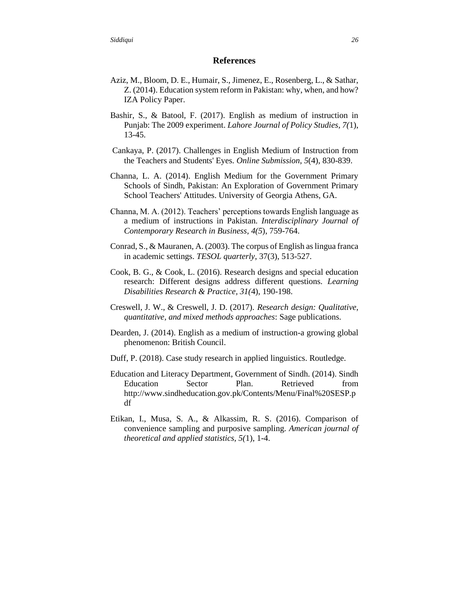#### **References**

- Aziz, M., Bloom, D. E., Humair, S., Jimenez, E., Rosenberg, L., & Sathar, Z. (2014). Education system reform in Pakistan: why, when, and how? IZA Policy Paper.
- Bashir, S., & Batool, F. (2017). English as medium of instruction in Punjab: The 2009 experiment. *Lahore Journal of Policy Studies, 7(*1), 13-45.
- Cankaya, P. (2017). Challenges in English Medium of Instruction from the Teachers and Students' Eyes. *Online Submission*, *5*(4), 830-839.
- Channa, L. A. (2014). English Medium for the Government Primary Schools of Sindh, Pakistan: An Exploration of Government Primary School Teachers' Attitudes. University of Georgia Athens, GA.
- Channa, M. A. (2012). Teachers' perceptions towards English language as a medium of instructions in Pakistan. *Interdisciplinary Journal of Contemporary Research in Business, 4(5*), 759-764.
- Conrad, S., & Mauranen, A. (2003). The corpus of English as lingua franca in academic settings. *TESOL quarterly*, 37(3), 513-527.
- Cook, B. G., & Cook, L. (2016). Research designs and special education research: Different designs address different questions. *Learning Disabilities Research & Practice, 31(*4), 190-198.
- Creswell, J. W., & Creswell, J. D. (2017). *Research design: Qualitative, quantitative, and mixed methods approaches*: Sage publications.
- Dearden, J. (2014). English as a medium of instruction-a growing global phenomenon: British Council.
- Duff, P. (2018). Case study research in applied linguistics. Routledge.
- Education and Literacy Department, Government of Sindh. (2014). Sindh Education Sector Plan. Retrieved from http://www.sindheducation.gov.pk/Contents/Menu/Final%20SESP.p df
- Etikan, I., Musa, S. A., & Alkassim, R. S. (2016). Comparison of convenience sampling and purposive sampling. *American journal of theoretical and applied statistics, 5(*1), 1-4.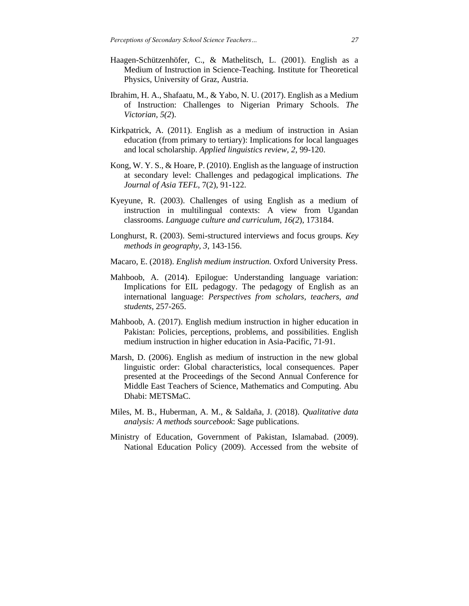- Haagen-Schützenhöfer, C., & Mathelitsch, L. (2001). English as a Medium of Instruction in Science-Teaching*.* Institute for Theoretical Physics, University of Graz, Austria.
- Ibrahim, H. A., Shafaatu, M., & Yabo, N. U. (2017). English as a Medium of Instruction: Challenges to Nigerian Primary Schools. *The Victorian, 5(2*).
- Kirkpatrick, A. (2011). English as a medium of instruction in Asian education (from primary to tertiary): Implications for local languages and local scholarship. *Applied linguistics review, 2*, 99-120.
- Kong, W. Y. S., & Hoare, P. (2010). English as the language of instruction at secondary level: Challenges and pedagogical implications. *The Journal of Asia TEFL*, 7(2), 91-122.
- Kyeyune, R. (2003). Challenges of using English as a medium of instruction in multilingual contexts: A view from Ugandan classrooms. *Language culture and curriculum, 16(2*), 173184.
- Longhurst, R. (2003). Semi-structured interviews and focus groups. *Key methods in geography, 3*, 143-156.
- Macaro, E. (2018). *English medium instruction.* Oxford University Press.
- Mahboob, A. (2014). Epilogue: Understanding language variation: Implications for EIL pedagogy. The pedagogy of English as an international language: *Perspectives from scholars, teachers, and students*, 257-265.
- Mahboob, A. (2017). English medium instruction in higher education in Pakistan: Policies, perceptions, problems, and possibilities. English medium instruction in higher education in Asia-Pacific, 71-91.
- Marsh, D. (2006). English as medium of instruction in the new global linguistic order: Global characteristics, local consequences. Paper presented at the Proceedings of the Second Annual Conference for Middle East Teachers of Science, Mathematics and Computing. Abu Dhabi: METSMaC.
- Miles, M. B., Huberman, A. M., & Saldaña, J. (2018). *Qualitative data analysis: A methods sourcebook*: Sage publications.
- Ministry of Education, Government of Pakistan, Islamabad. (2009). National Education Policy (2009). Accessed from the website of